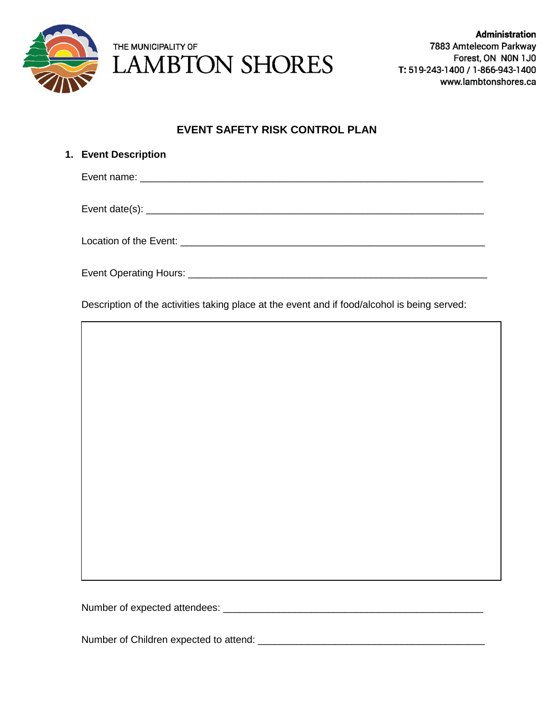

## **EVENT SAFETY RISK CONTROL PLAN**

| 1. Event Description |
|----------------------|
|                      |
|                      |
|                      |
|                      |

Description of the activities taking place at the event and if food/alcohol is being served:

Number of expected attendees: \_\_\_\_\_\_\_\_\_\_\_\_\_\_\_\_\_\_\_\_\_\_\_\_\_\_\_\_\_\_\_\_\_\_\_\_\_\_\_\_\_\_\_\_\_\_\_

Number of Children expected to attend: \_\_\_\_\_\_\_\_\_\_\_\_\_\_\_\_\_\_\_\_\_\_\_\_\_\_\_\_\_\_\_\_\_\_\_\_\_\_\_\_\_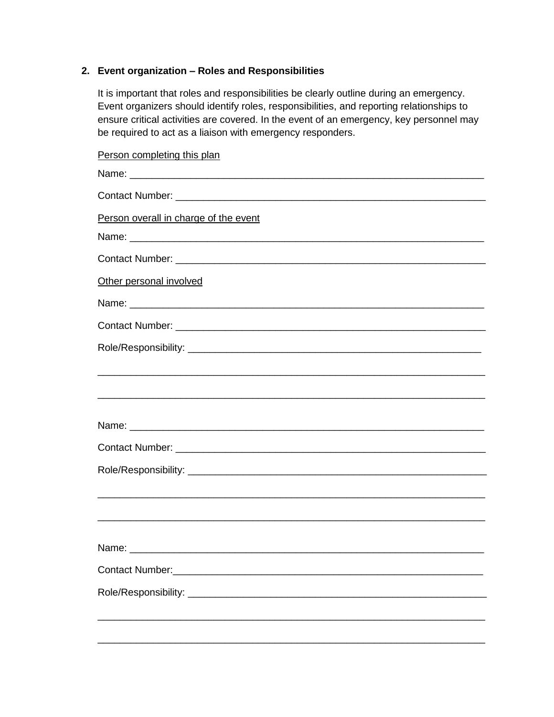## **2. Event organization – Roles and Responsibilities**

It is important that roles and responsibilities be clearly outline during an emergency. Event organizers should identify roles, responsibilities, and reporting relationships to ensure critical activities are covered. In the event of an emergency, key personnel may be required to act as a liaison with emergency responders.

Person completing this plan Name: \_\_\_\_\_\_\_\_\_\_\_\_\_\_\_\_\_\_\_\_\_\_\_\_\_\_\_\_\_\_\_\_\_\_\_\_\_\_\_\_\_\_\_\_\_\_\_\_\_\_\_\_\_\_\_\_\_\_\_\_\_\_\_\_ Contact Number: **Example 20** and  $\overline{a}$  and  $\overline{b}$  and  $\overline{c}$  and  $\overline{d}$  and  $\overline{b}$  and  $\overline{c}$  and  $\overline{d}$  and  $\overline{c}$  and  $\overline{c}$  and  $\overline{c}$  and  $\overline{c}$  and  $\overline{c}$  and  $\overline{c}$  and  $\overline{c}$  and  $\overline{c}$ Person overall in charge of the event Name: \_\_\_\_\_\_\_\_\_\_\_\_\_\_\_\_\_\_\_\_\_\_\_\_\_\_\_\_\_\_\_\_\_\_\_\_\_\_\_\_\_\_\_\_\_\_\_\_\_\_\_\_\_\_\_\_\_\_\_\_\_\_\_\_ Contact Number: **Example 2** and the contact Number: Other personal involved Name:  $\blacksquare$ Contact Number: \_\_\_\_\_\_\_\_\_\_\_\_\_\_\_\_\_\_\_\_\_\_\_\_\_\_\_\_\_\_\_\_\_\_\_\_\_\_\_\_\_\_\_\_\_\_\_\_\_\_\_\_\_\_\_\_ Role/Responsibility: \_\_\_\_\_\_\_\_\_\_\_\_\_\_\_\_\_\_\_\_\_\_\_\_\_\_\_\_\_\_\_\_\_\_\_\_\_\_\_\_\_\_\_\_\_\_\_\_\_\_\_\_\_ \_\_\_\_\_\_\_\_\_\_\_\_\_\_\_\_\_\_\_\_\_\_\_\_\_\_\_\_\_\_\_\_\_\_\_\_\_\_\_\_\_\_\_\_\_\_\_\_\_\_\_\_\_\_\_\_\_\_\_\_\_\_\_\_\_\_\_\_\_\_ \_\_\_\_\_\_\_\_\_\_\_\_\_\_\_\_\_\_\_\_\_\_\_\_\_\_\_\_\_\_\_\_\_\_\_\_\_\_\_\_\_\_\_\_\_\_\_\_\_\_\_\_\_\_\_\_\_\_\_\_\_\_\_\_\_\_\_\_\_\_ Name:  $\blacksquare$ Contact Number: \_\_\_\_\_\_\_\_\_\_\_\_\_\_\_\_\_\_\_\_\_\_\_\_\_\_\_\_\_\_\_\_\_\_\_\_\_\_\_\_\_\_\_\_\_\_\_\_\_\_\_\_\_\_\_\_ Role/Responsibility:  $\blacksquare$ \_\_\_\_\_\_\_\_\_\_\_\_\_\_\_\_\_\_\_\_\_\_\_\_\_\_\_\_\_\_\_\_\_\_\_\_\_\_\_\_\_\_\_\_\_\_\_\_\_\_\_\_\_\_\_\_\_\_\_\_\_\_\_\_\_\_\_\_\_\_ \_\_\_\_\_\_\_\_\_\_\_\_\_\_\_\_\_\_\_\_\_\_\_\_\_\_\_\_\_\_\_\_\_\_\_\_\_\_\_\_\_\_\_\_\_\_\_\_\_\_\_\_\_\_\_\_\_\_\_\_\_\_\_\_\_\_\_\_\_\_ Name:  $\blacksquare$ Contact Number: **Example 20** and the contact Number: Role/Responsibility: \_\_\_\_\_\_\_\_\_\_\_\_\_\_\_\_\_\_\_\_\_\_\_\_\_\_\_\_\_\_\_\_\_\_\_\_\_\_\_\_\_\_\_\_\_\_\_\_\_\_\_\_\_\_ \_\_\_\_\_\_\_\_\_\_\_\_\_\_\_\_\_\_\_\_\_\_\_\_\_\_\_\_\_\_\_\_\_\_\_\_\_\_\_\_\_\_\_\_\_\_\_\_\_\_\_\_\_\_\_\_\_\_\_\_\_\_\_\_\_\_\_\_\_\_

\_\_\_\_\_\_\_\_\_\_\_\_\_\_\_\_\_\_\_\_\_\_\_\_\_\_\_\_\_\_\_\_\_\_\_\_\_\_\_\_\_\_\_\_\_\_\_\_\_\_\_\_\_\_\_\_\_\_\_\_\_\_\_\_\_\_\_\_\_\_